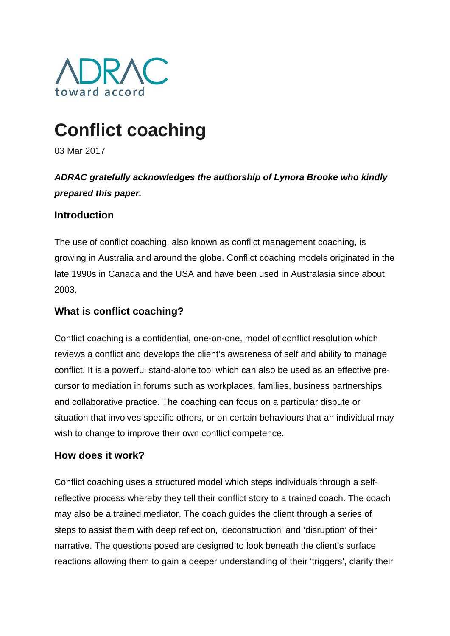

# **Conflict coaching**

03 Mar 2017

## *ADRAC gratefully acknowledges the authorship of Lynora Brooke who kindly prepared this paper.*

## **Introduction**

The use of conflict coaching, also known as conflict management coaching, is growing in Australia and around the globe. Conflict coaching models originated in the late 1990s in Canada and the USA and have been used in Australasia since about 2003.

## **What is conflict coaching?**

Conflict coaching is a confidential, one-on-one, model of conflict resolution which reviews a conflict and develops the client's awareness of self and ability to manage conflict. It is a powerful stand-alone tool which can also be used as an effective precursor to mediation in forums such as workplaces, families, business partnerships and collaborative practice. The coaching can focus on a particular dispute or situation that involves specific others, or on certain behaviours that an individual may wish to change to improve their own conflict competence.

## **How does it work?**

Conflict coaching uses a structured model which steps individuals through a selfreflective process whereby they tell their conflict story to a trained coach. The coach may also be a trained mediator. The coach guides the client through a series of steps to assist them with deep reflection, 'deconstruction' and 'disruption' of their narrative. The questions posed are designed to look beneath the client's surface reactions allowing them to gain a deeper understanding of their 'triggers', clarify their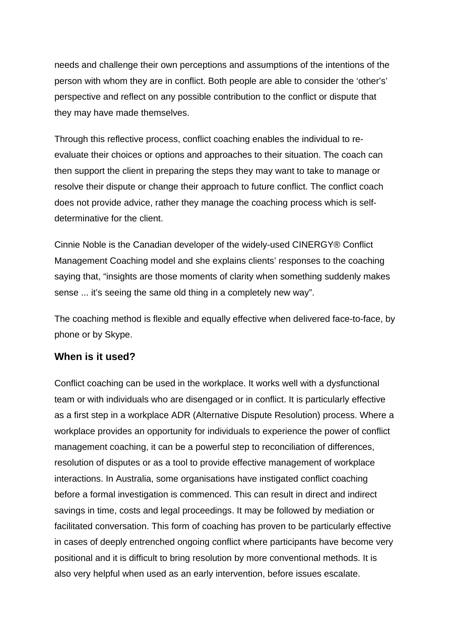needs and challenge their own perceptions and assumptions of the intentions of the person with whom they are in conflict. Both people are able to consider the 'other's' perspective and reflect on any possible contribution to the conflict or dispute that they may have made themselves.

Through this reflective process, conflict coaching enables the individual to reevaluate their choices or options and approaches to their situation. The coach can then support the client in preparing the steps they may want to take to manage or resolve their dispute or change their approach to future conflict. The conflict coach does not provide advice, rather they manage the coaching process which is selfdeterminative for the client.

Cinnie Noble is the Canadian developer of the widely-used CINERGY® Conflict Management Coaching model and she explains clients' responses to the coaching saying that, "insights are those moments of clarity when something suddenly makes sense ... it's seeing the same old thing in a completely new way".

The coaching method is flexible and equally effective when delivered face-to-face, by phone or by Skype.

#### **When is it used?**

Conflict coaching can be used in the workplace. It works well with a dysfunctional team or with individuals who are disengaged or in conflict. It is particularly effective as a first step in a workplace ADR (Alternative Dispute Resolution) process. Where a workplace provides an opportunity for individuals to experience the power of conflict management coaching, it can be a powerful step to reconciliation of differences, resolution of disputes or as a tool to provide effective management of workplace interactions. In Australia, some organisations have instigated conflict coaching before a formal investigation is commenced. This can result in direct and indirect savings in time, costs and legal proceedings. It may be followed by mediation or facilitated conversation. This form of coaching has proven to be particularly effective in cases of deeply entrenched ongoing conflict where participants have become very positional and it is difficult to bring resolution by more conventional methods. It is also very helpful when used as an early intervention, before issues escalate.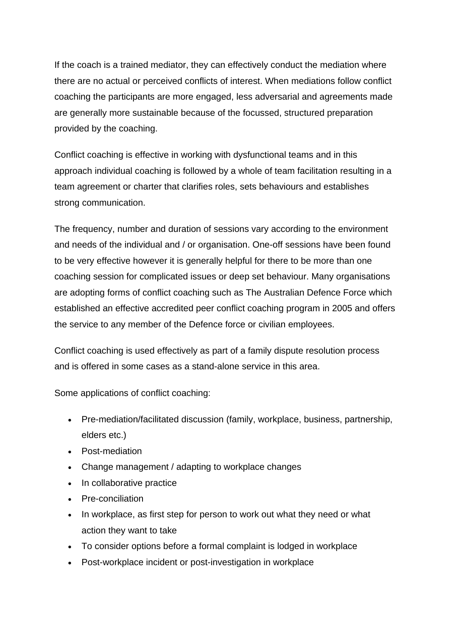If the coach is a trained mediator, they can effectively conduct the mediation where there are no actual or perceived conflicts of interest. When mediations follow conflict coaching the participants are more engaged, less adversarial and agreements made are generally more sustainable because of the focussed, structured preparation provided by the coaching.

Conflict coaching is effective in working with dysfunctional teams and in this approach individual coaching is followed by a whole of team facilitation resulting in a team agreement or charter that clarifies roles, sets behaviours and establishes strong communication.

The frequency, number and duration of sessions vary according to the environment and needs of the individual and / or organisation. One-off sessions have been found to be very effective however it is generally helpful for there to be more than one coaching session for complicated issues or deep set behaviour. Many organisations are adopting forms of conflict coaching such as The Australian Defence Force which established an effective accredited peer conflict coaching program in 2005 and offers the service to any member of the Defence force or civilian employees.

Conflict coaching is used effectively as part of a family dispute resolution process and is offered in some cases as a stand-alone service in this area.

Some applications of conflict coaching:

- Pre-mediation/facilitated discussion (family, workplace, business, partnership, elders etc.)
- Post-mediation
- Change management / adapting to workplace changes
- In collaborative practice
- Pre-conciliation
- In workplace, as first step for person to work out what they need or what action they want to take
- To consider options before a formal complaint is lodged in workplace
- Post-workplace incident or post-investigation in workplace